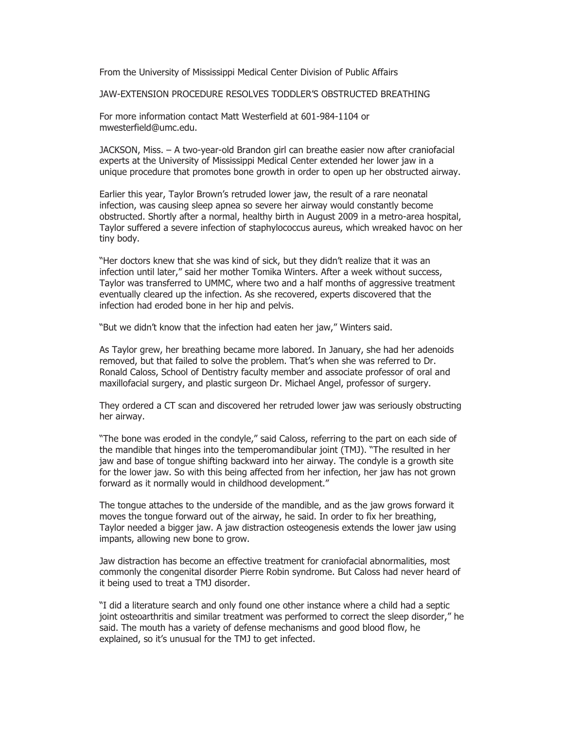From the University of Mississippi Medical Center Division of Public Affairs

JAW-EXTENSION PROCEDURE RESOLVES TODDLER'S OBSTRUCTED BREATHING

For more information contact Matt Westerfield at 601-984-1104 or mwesterfield@umc.edu.

JACKSON, Miss. – A two-year-old Brandon girl can breathe easier now after craniofacial experts at the University of Mississippi Medical Center extended her lower jaw in a unique procedure that promotes bone growth in order to open up her obstructed airway.

Earlier this year, Taylor Brown's retruded lower jaw, the result of a rare neonatal infection, was causing sleep apnea so severe her airway would constantly become obstructed. Shortly after a normal, healthy birth in August 2009 in a metro-area hospital, Taylor suffered a severe infection of staphylococcus aureus, which wreaked havoc on her tiny body.

"Her doctors knew that she was kind of sick, but they didn't realize that it was an infection until later," said her mother Tomika Winters. After a week without success, Taylor was transferred to UMMC, where two and a half months of aggressive treatment eventually cleared up the infection. As she recovered, experts discovered that the infection had eroded bone in her hip and pelvis.

"But we didn't know that the infection had eaten her jaw," Winters said.

As Taylor grew, her breathing became more labored. In January, she had her adenoids removed, but that failed to solve the problem. That's when she was referred to Dr. Ronald Caloss, School of Dentistry faculty member and associate professor of oral and maxillofacial surgery, and plastic surgeon Dr. Michael Angel, professor of surgery.

They ordered a CT scan and discovered her retruded lower jaw was seriously obstructing her airway.

"The bone was eroded in the condyle," said Caloss, referring to the part on each side of the mandible that hinges into the temperomandibular joint (TMJ). "The resulted in her jaw and base of tongue shifting backward into her airway. The condyle is a growth site for the lower jaw. So with this being affected from her infection, her jaw has not grown forward as it normally would in childhood development."

The tongue attaches to the underside of the mandible, and as the jaw grows forward it moves the tongue forward out of the airway, he said. In order to fix her breathing, Taylor needed a bigger jaw. A jaw distraction osteogenesis extends the lower jaw using impants, allowing new bone to grow.

Jaw distraction has become an effective treatment for craniofacial abnormalities, most commonly the congenital disorder Pierre Robin syndrome. But Caloss had never heard of it being used to treat a TMJ disorder.

"I did a literature search and only found one other instance where a child had a septic joint osteoarthritis and similar treatment was performed to correct the sleep disorder," he said. The mouth has a variety of defense mechanisms and good blood flow, he explained, so it's unusual for the TMJ to get infected.